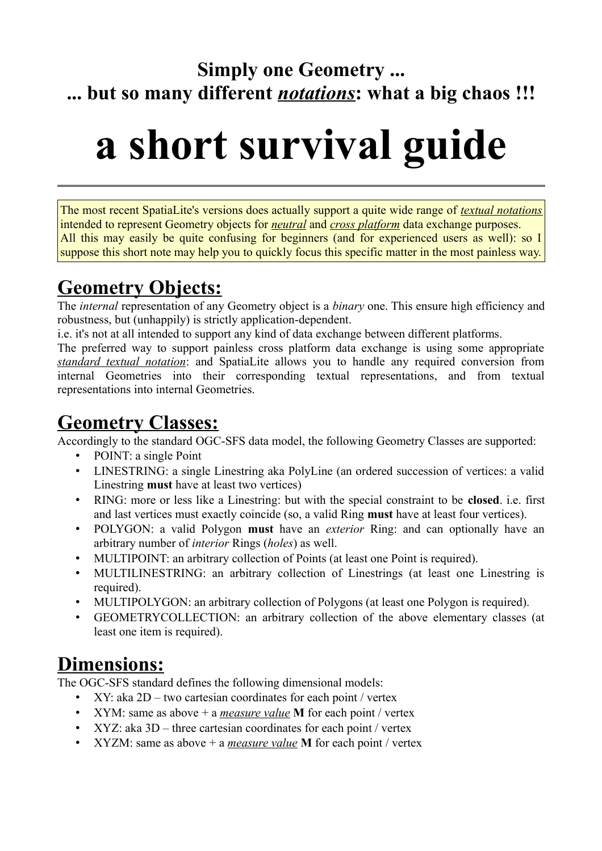### **Simply one Geometry ... ... but so many different** *notations***: what a big chaos !!!**

# **a short survival guide**

The most recent SpatiaLite's versions does actually support a quite wide range of *textual notations* intended to represent Geometry objects for *neutral* and *cross platform* data exchange purposes. All this may easily be quite confusing for beginners (and for experienced users as well): so I suppose this short note may help you to quickly focus this specific matter in the most painless way.

### **Geometry Objects:**

The *internal* representation of any Geometry object is a *binary* one. This ensure high efficiency and robustness, but (unhappily) is strictly application-dependent.

i.e. it's not at all intended to support any kind of data exchange between different platforms.

The preferred way to support painless cross platform data exchange is using some appropriate *standard textual notation*: and SpatiaLite allows you to handle any required conversion from internal Geometries into their corresponding textual representations, and from textual representations into internal Geometries.

### **Geometry Classes:**

Accordingly to the standard OGC-SFS data model, the following Geometry Classes are supported:

- POINT: a single Point
- LINESTRING: a single Linestring aka PolyLine (an ordered succession of vertices: a valid Linestring **must** have at least two vertices)
- RING: more or less like a Linestring: but with the special constraint to be **closed**. i.e. first and last vertices must exactly coincide (so, a valid Ring **must** have at least four vertices).
- POLYGON: a valid Polygon **must** have an *exterior* Ring: and can optionally have an arbitrary number of *interior* Rings (*holes*) as well.
- MULTIPOINT: an arbitrary collection of Points (at least one Point is required).
- MULTILINESTRING: an arbitrary collection of Linestrings (at least one Linestring is required).
- MULTIPOLYGON: an arbitrary collection of Polygons (at least one Polygon is required).
- GEOMETRYCOLLECTION: an arbitrary collection of the above elementary classes (at least one item is required).

### **Dimensions:**

The OGC-SFS standard defines the following dimensional models:

- XY: aka 2D two cartesian coordinates for each point / vertex
- XYM: same as above + a *measure value* **M** for each point / vertex
- XYZ: aka 3D three cartesian coordinates for each point / vertex
- XYZM: same as above + a *measure value* **M** for each point / vertex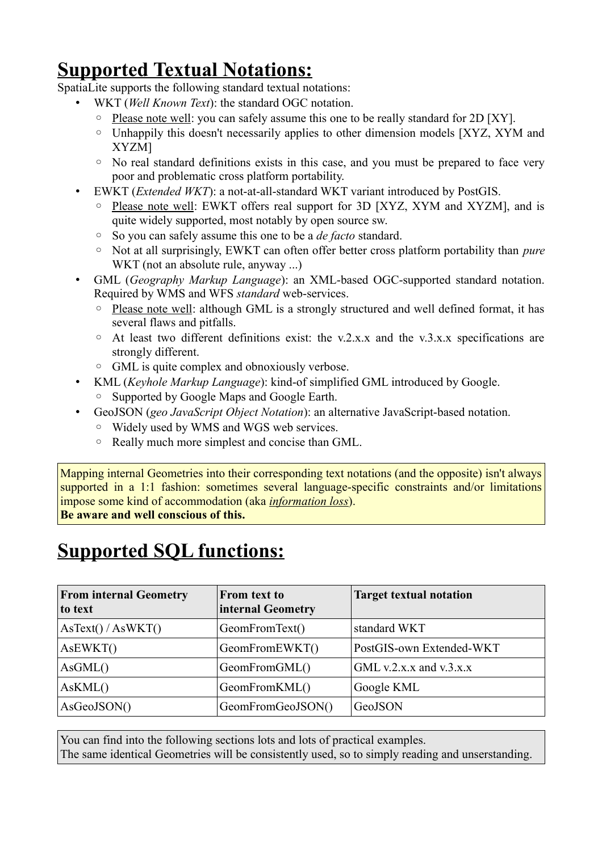### **Supported Textual Notations:**

SpatiaLite supports the following standard textual notations:

- WKT (*Well Known Text*): the standard OGC notation.
	- Please note well: you can safely assume this one to be really standard for 2D [XY].
	- Unhappily this doesn't necessarily applies to other dimension models [XYZ, XYM and XYZM]
	- No real standard definitions exists in this case, and you must be prepared to face very poor and problematic cross platform portability.
- EWKT (*Extended WKT*): a not-at-all-standard WKT variant introduced by PostGIS.
	- Please note well: EWKT offers real support for 3D [XYZ, XYM and XYZM], and is quite widely supported, most notably by open source sw.
	- So you can safely assume this one to be a *de facto* standard.
	- Not at all surprisingly, EWKT can often offer better cross platform portability than *pure* WKT (not an absolute rule, anyway ...)
- GML (*Geography Markup Language*): an XML-based OGC-supported standard notation. Required by WMS and WFS *standard* web-services.
	- Please note well: although GML is a strongly structured and well defined format, it has several flaws and pitfalls.
	- At least two different definitions exist: the v.2.x.x and the v.3.x.x specifications are strongly different.
	- GML is quite complex and obnoxiously verbose.
- KML (*Keyhole Markup Language*): kind-of simplified GML introduced by Google.
	- Supported by Google Maps and Google Earth.
- GeoJSON (*geo JavaScript Object Notation*): an alternative JavaScript-based notation.
	- Widely used by WMS and WGS web services.
	- Really much more simplest and concise than GML.

Mapping internal Geometries into their corresponding text notations (and the opposite) isn't always supported in a 1:1 fashion: sometimes several language-specific constraints and/or limitations impose some kind of accommodation (aka *information loss*).

**Be aware and well conscious of this.**

### **Supported SQL functions:**

| <b>From internal Geometry</b><br>to text | From text to<br>internal Geometry | <b>Target textual notation</b> |
|------------------------------------------|-----------------------------------|--------------------------------|
| AsText() / AsWKT()                       | GeomFromText()                    | standard WKT                   |
| AsEWKT()                                 | GeomFromEWKT()                    | PostGIS-own Extended-WKT       |
| AsGML()                                  | GeomFromGML()                     | GML v.2.x.x and v.3.x.x        |
| AsKML()                                  | GeomFromKML()                     | Google KML                     |
| AsGeoJSON()                              | GeomFromGeoJSON()                 | GeoJSON                        |

You can find into the following sections lots and lots of practical examples. The same identical Geometries will be consistently used, so to simply reading and unserstanding.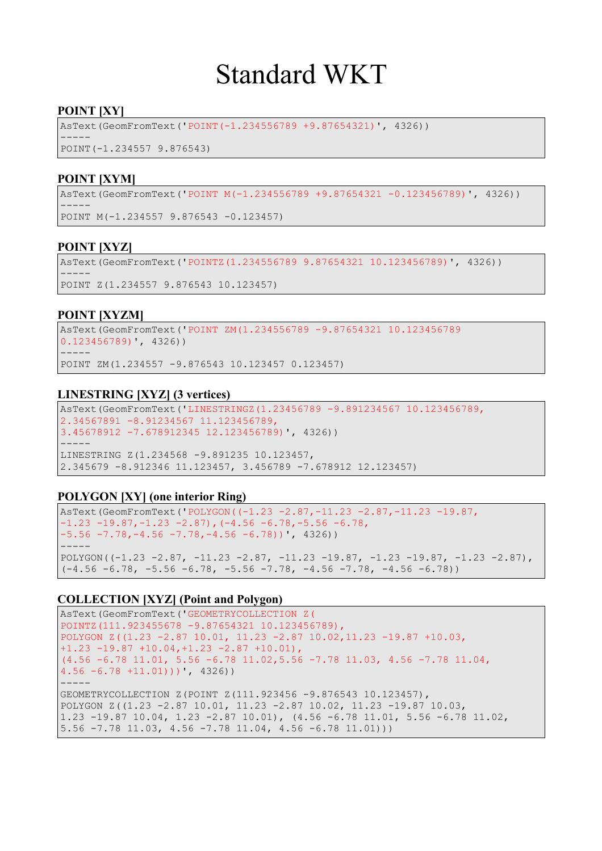# Standard WKT

#### **POINT [XY]**

AsText(GeomFromText('POINT(-1.234556789 +9.87654321)', 4326))

----- POINT(-1.234557 9.876543)

#### **POINT [XYM]**

AsText(GeomFromText('POINT M(-1.234556789 +9.87654321 -0.123456789)', 4326)) ----- POINT M(-1.234557 9.876543 -0.123457)

#### **POINT [XYZ]**

AsText(GeomFromText('POINTZ(1.234556789 9.87654321 10.123456789)', 4326)) ----- POINT Z(1.234557 9.876543 10.123457)

#### **POINT [XYZM]**

AsText(GeomFromText('POINT ZM(1.234556789 -9.87654321 10.123456789 0.123456789)', 4326)) -----

POINT ZM(1.234557 -9.876543 10.123457 0.123457)

#### **LINESTRING [XYZ] (3 vertices)**

AsText(GeomFromText('LINESTRINGZ(1.23456789 -9.891234567 10.123456789, 2.34567891 -8.91234567 11.123456789, 3.45678912 -7.678912345 12.123456789)', 4326)) ----- LINESTRING Z(1.234568 -9.891235 10.123457, 2.345679 -8.912346 11.123457, 3.456789 -7.678912 12.123457)

#### **POLYGON [XY] (one interior Ring)**

AsText(GeomFromText('POLYGON((-1.23 -2.87,-11.23 -2.87,-11.23 -19.87,  $-1.23 -19.87, -1.23 -2.87$ ,  $(-4.56 -6.78, -5.56 -6.78,$  $-5.56 -7.78, -4.56 -7.78, -4.56 -6.78)$  , 4326) ----- POLYGON((-1.23 -2.87, -11.23 -2.87, -11.23 -19.87, -1.23 -19.87, -1.23 -2.87),  $(-4.56 - 6.78, -5.56 - 6.78, -5.56 -7.78, -4.56 -7.78, -4.56 -6.78))$ 

```
AsText(GeomFromText('GEOMETRYCOLLECTION Z(
POINTZ(111.923455678 -9.87654321 10.123456789),
POLYGON Z((1.23 -2.87 10.01, 11.23 -2.87 10.02,11.23 -19.87 +10.03,
+1.23 -19.87 +10.04,+1.23 -2.87 +10.01),
(4.56 -6.78 11.01, 5.56 -6.78 11.02,5.56 -7.78 11.03, 4.56 -7.78 11.04,
4.56 -6.78 +11.01)))', 4326))
-----
GEOMETRYCOLLECTION Z(POINT Z(111.923456 -9.876543 10.123457), 
POLYGON Z((1.23 -2.87 10.01, 11.23 -2.87 10.02, 11.23 -19.87 10.03, 
1.23 -19.87 10.04, 1.23 -2.87 10.01), (4.56 -6.78 11.01, 5.56 -6.78 11.02, 
5.56 -7.78 11.03, 4.56 -7.78 11.04, 4.56 -6.78 11.01)))
```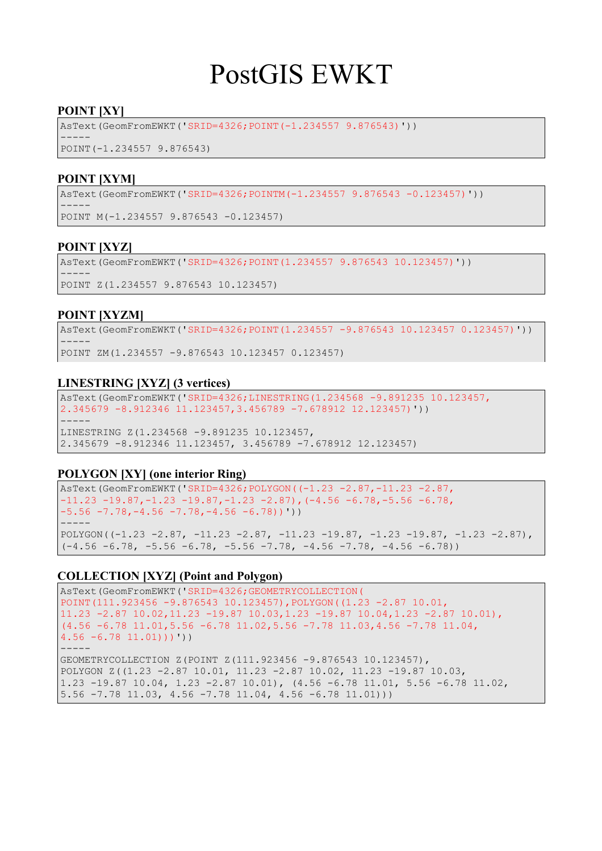# PostGIS EWKT

#### **POINT [XY]**

AsText(GeomFromEWKT('SRID=4326;POINT(-1.234557 9.876543)'))

----- POINT(-1.234557 9.876543)

#### **POINT [XYM]**

AsText(GeomFromEWKT('SRID=4326;POINTM(-1.234557 9.876543 -0.123457)')) ----- POINT M(-1.234557 9.876543 -0.123457)

#### **POINT [XYZ]**

AsText(GeomFromEWKT('SRID=4326;POINT(1.234557 9.876543 10.123457)')) ----- POINT Z(1.234557 9.876543 10.123457)

#### **POINT [XYZM]**

AsText(GeomFromEWKT('SRID=4326;POINT(1.234557 -9.876543 10.123457 0.123457)')) ----- POINT ZM(1.234557 -9.876543 10.123457 0.123457)

#### **LINESTRING [XYZ] (3 vertices)**

AsText(GeomFromEWKT('SRID=4326;LINESTRING(1.234568 -9.891235 10.123457, 2.345679 -8.912346 11.123457,3.456789 -7.678912 12.123457)')) ----- LINESTRING Z(1.234568 -9.891235 10.123457,

2.345679 -8.912346 11.123457, 3.456789 -7.678912 12.123457)

#### **POLYGON [XY] (one interior Ring)**

```
AsText(GeomFromEWKT('SRID=4326;POLYGON((-1.23 -2.87,-11.23 -2.87,
-11.23 -19.87, -1.23 -19.87, -1.23 -2.87), (-4.56 -6.78, -5.56 -6.78,
-5.56 -7.78, -4.56 -7.78, -4.56 -6.78))'))
-----
POLYGON((-1.23 -2.87, -11.23 -2.87, -11.23 -19.87, -1.23 -19.87, -1.23 -2.87),
(-4.56 - 6.78, -5.56 - 6.78, -5.56 -7.78, -4.56 -7.78, -4.56 -6.78))
```

```
AsText(GeomFromEWKT('SRID=4326;GEOMETRYCOLLECTION(
POINT(111.923456 -9.876543 10.123457),POLYGON((1.23 -2.87 10.01,
11.23 -2.87 10.02,11.23 -19.87 10.03,1.23 -19.87 10.04,1.23 -2.87 10.01),
(4.56 -6.78 11.01,5.56 -6.78 11.02,5.56 -7.78 11.03,4.56 -7.78 11.04,
4.56 - 6.78 11.01)))'))
-----
GEOMETRYCOLLECTION Z(POINT Z(111.923456 -9.876543 10.123457),
```

```
POLYGON Z((1.23 -2.87 10.01, 11.23 -2.87 10.02, 11.23 -19.87 10.03, 
1.23 -19.87 10.04, 1.23 -2.87 10.01), (4.56 -6.78 11.01, 5.56 -6.78 11.02, 
5.56 -7.78 11.03, 4.56 -7.78 11.04, 4.56 -6.78 11.01)))
```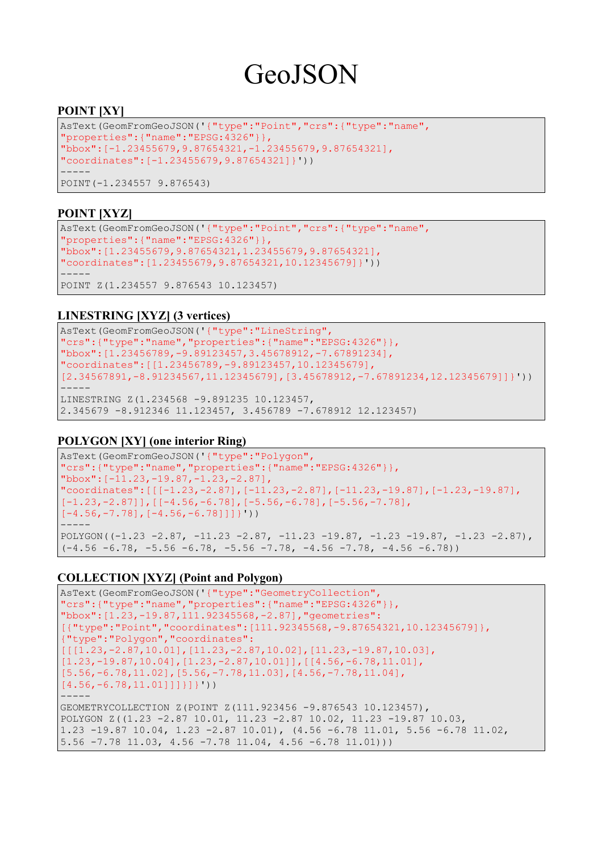# GeoJSON

#### **POINT [XY]**

```
AsText(GeomFromGeoJSON('{"type":"Point","crs":{"type":"name",
"properties":{"name":"EPSG:4326"}},
"bbox":[-1.23455679,9.87654321,-1.23455679,9.87654321],
"coordinates":[-1.23455679,9.87654321]}'))
-----
POINT(-1.234557 9.876543)
```
#### **POINT [XYZ]**

```
AsText(GeomFromGeoJSON('{"type":"Point","crs":{"type":"name",
"properties":{"name":"EPSG:4326"}},
"bbox":[1.23455679,9.87654321,1.23455679,9.87654321],
"coordinates":[1.23455679,9.87654321,10.12345679]}'))
-----
POINT Z(1.234557 9.876543 10.123457)
```
#### **LINESTRING [XYZ] (3 vertices)**

```
AsText(GeomFromGeoJSON('{"type":"LineString",
"crs":{"type":"name","properties":{"name":"EPSG:4326"}},
"bbox":[1.23456789,-9.89123457,3.45678912,-7.67891234],
"coordinates":[[1.23456789,-9.89123457,10.12345679],
[2.34567891,-8.91234567,11.12345679],[3.45678912,-7.67891234,12.12345679]]}'))
-----
LINESTRING Z(1.234568 -9.891235 10.123457, 
2.345679 -8.912346 11.123457, 3.456789 -7.678912 12.123457)
```
#### **POLYGON [XY] (one interior Ring)**

```
AsText(GeomFromGeoJSON('{"type":"Polygon",
"crs":{"type":"name","properties":{"name":"EPSG:4326"}},
"bbox":[-11.23,-19.87,-1.23,-2.87],
"coordinates":[[[-1.23,-2.87],[-11.23,-2.87],[-11.23,-19.87],[-1.23,-19.87],
[-1.23,-2.87]], [[-4.56,-6.78], [-5.56,-6.78], [-5.56,-7.78][-4.56,-7.78], [-4.56,-6.78]]]}'))
-----
POLYGON((-1.23 - 2.87, -11.23 - 2.87, -11.23 -19.87, -1.23 -19.87, -1.23 -2.87),(-4.56 - 6.78, -5.56 - 6.78, -5.56 -7.78, -4.56 -7.78, -4.56 -6.78))
```

```
AsText(GeomFromGeoJSON('{"type":"GeometryCollection",
"crs":{"type":"name","properties":{"name":"EPSG:4326"}},
"bbox":[1.23,-19.87,111.92345568,-2.87],"geometries":
[{"type":"Point","coordinates":[111.92345568,-9.87654321,10.12345679]},
{"type":"Polygon","coordinates":
[[1.23,-2.87,10.01],[11.23,-2.87,10.02],[11.23,-19.87,10.03][1.23,-19.87,10.04],[1.23,-2.87,10.01]],[1.56,-6.78,11.01][5.56,-6.78,11.02], [5.56,-7.78,11.03], [4.56,-7.78,11.04],
[4.56,-6.78,11.01]]]]]]))
-----
GEOMETRYCOLLECTION Z(POINT Z(111.923456 -9.876543 10.123457), 
POLYGON Z((1.23 -2.87 10.01, 11.23 -2.87 10.02, 11.23 -19.87 10.03, 
1.23 -19.87 10.04, 1.23 -2.87 10.01), (4.56 -6.78 11.01, 5.56 -6.78 11.02, 
5.56 -7.78 11.03, 4.56 -7.78 11.04, 4.56 -6.78 11.01)))
```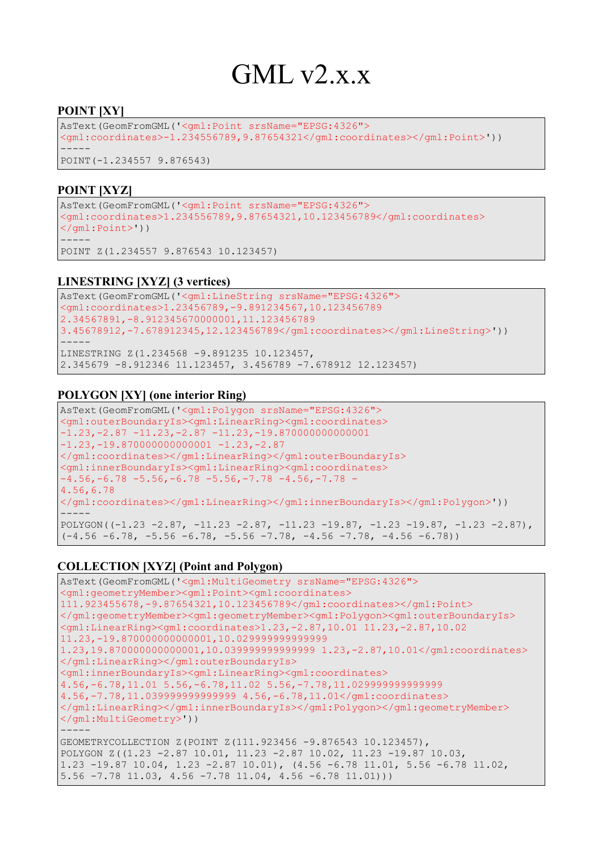# GML v2.x.x

#### **POINT [XY]**

```
AsText(GeomFromGML('<gml:Point srsName="EPSG:4326">
<gml:coordinates>-1.234556789,9.87654321</gml:coordinates></gml:Point>'))
-----
POINT(-1.234557 9.876543)
```
#### **POINT [XYZ]**

AsText(GeomFromGML('<gml:Point srsName="EPSG:4326"> <gml:coordinates>1.234556789,9.87654321,10.123456789</gml:coordinates>  $\langle$ /qml:Point>')) -----

POINT Z(1.234557 9.876543 10.123457)

#### **LINESTRING [XYZ] (3 vertices)**

```
AsText(GeomFromGML('<gml:LineString srsName="EPSG:4326">
<gml:coordinates>1.23456789,-9.891234567,10.123456789
2.34567891,-8.912345670000001,11.123456789 
3.45678912,-7.678912345,12.123456789</gml:coordinates></gml:LineString>'))
-----
LINESTRING Z(1.234568 -9.891235 10.123457, 
2.345679 -8.912346 11.123457, 3.456789 -7.678912 12.123457)
```
#### **POLYGON [XY] (one interior Ring)**

```
AsText(GeomFromGML('<gml:Polygon srsName="EPSG:4326">
<gml:outerBoundaryIs><gml:LinearRing><gml:coordinates>
-1.23, -2.87, -11.23, -2.87, -11.23, -19.870000000000001-1.23, -19.870000000000001 -1.23, -2.87</gml:coordinates></gml:LinearRing></gml:outerBoundaryIs>
<gml:innerBoundaryIs><gml:LinearRing><gml:coordinates>
-4.56, -6.78 -5.56, -6.78 -5.56, -7.78 -4.56, -7.78 -
4.56,6.78
</gml:coordinates></gml:LinearRing></gml:innerBoundaryIs></gml:Polygon>'))
-----
POLYGON((-1.23 - 2.87, -11.23 - 2.87, -11.23 -19.87, -1.23 -19.87, -1.23 -2.87),(-4.56 - 6.78, -5.56 - 6.78, -5.56 -7.78, -4.56 -7.78, -4.56 -6.78))
```

```
AsText(GeomFromGML('<gml:MultiGeometry srsName="EPSG:4326">
<gml:geometryMember><gml:Point><gml:coordinates>
111.923455678,-9.87654321,10.123456789</gml:coordinates></gml:Point>
</gml:geometryMember><gml:geometryMember><gml:Polygon><gml:outerBoundaryIs>
<gml:LinearRing><gml:coordinates>1.23,-2.87,10.01 11.23,-2.87,10.02 
11.23,-19.870000000000001,10.029999999999999 
1.23,19.870000000000001,10.039999999999999 1.23,-2.87,10.01</gml:coordinates>
</gml:LinearRing></gml:outerBoundaryIs>
<gml:innerBoundaryIs><gml:LinearRing><gml:coordinates>
4.56,-6.78,11.01 5.56,-6.78,11.02 5.56,-7.78,11.029999999999999 
4.56,-7.78,11.039999999999999 4.56,-6.78,11.01</gml:coordinates>
</gml:LinearRing></gml:innerBoundaryIs></gml:Polygon></gml:geometryMember>
</gml:MultiGeometry>'))
-----
GEOMETRYCOLLECTION Z(POINT Z(111.923456 -9.876543 10.123457), 
POLYGON Z((1.23 -2.87 10.01, 11.23 -2.87 10.02, 11.23 -19.87 10.03, 
1.23 -19.87 10.04, 1.23 -2.87 10.01), (4.56 -6.78 11.01, 5.56 -6.78 11.02, 
5.56 -7.78 11.03, 4.56 -7.78 11.04, 4.56 -6.78 11.01)))
```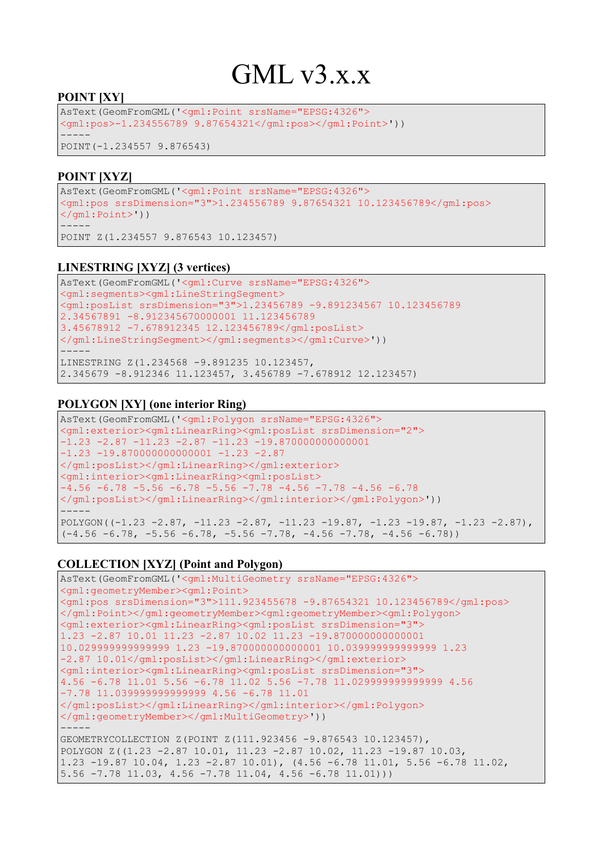# $GMI_vv3.x.x$

#### **POINT [XY]**

AsText(GeomFromGML('<gml:Point srsName="EPSG:4326"> <gml:pos>-1.234556789 9.87654321</gml:pos></gml:Point>')) ----- POINT(-1.234557 9.876543)

#### **POINT [XYZ]**

```
AsText(GeomFromGML('<gml:Point srsName="EPSG:4326">
<gml:pos srsDimension="3">1.234556789 9.87654321 10.123456789</gml:pos>
</gml:Point>'))
-----
POINT Z(1.234557 9.876543 10.123457)
```
#### **LINESTRING [XYZ] (3 vertices)**

```
AsText(GeomFromGML('<gml:Curve srsName="EPSG:4326">
<gml:segments><gml:LineStringSegment>
<gml:posList srsDimension="3">1.23456789 -9.891234567 10.123456789 
2.34567891 -8.912345670000001 11.123456789 
3.45678912 -7.678912345 12.123456789</gml:posList>
</gml:LineStringSegment></gml:segments></gml:Curve>'))
-----
LINESTRING Z(1.234568 -9.891235 10.123457, 
2.345679 -8.912346 11.123457, 3.456789 -7.678912 12.123457)
```
#### **POLYGON [XY] (one interior Ring)**

```
AsText(GeomFromGML('<gml:Polygon srsName="EPSG:4326">
<gml:exterior><gml:LinearRing><gml:posList srsDimension="2">
-1.23 -2.87 -11.23 -2.87 -11.23 -19.870000000000001 
-1.23 -19.8700000000000001 -1.23 -2.87</gml:posList></gml:LinearRing></gml:exterior>
<gml:interior><gml:LinearRing><gml:posList>
-4.56 -6.78 -5.56 -6.78 -5.56 -7.78 -4.56 -7.78 -4.56 -6.78
</gml:posList></gml:LinearRing></gml:interior></gml:Polygon>'))
-----
POLYGON((-1.23 -2.87, -11.23 -2.87, -11.23 -19.87, -1.23 -19.87, -1.23 -2.87),
(-4.56 - 6.78, -5.56 - 6.78, -5.56 -7.78, -4.56 -7.78, -4.56 -6.78))
```

```
AsText(GeomFromGML('<gml:MultiGeometry srsName="EPSG:4326">
<gml:geometryMember><gml:Point>
<gml:pos srsDimension="3">111.923455678 -9.87654321 10.123456789</gml:pos>
</gml:Point></gml:geometryMember><gml:geometryMember><gml:Polygon>
<gml:exterior><gml:LinearRing><gml:posList srsDimension="3">
1.23 -2.87 10.01 11.23 -2.87 10.02 11.23 -19.870000000000001 
10.029999999999999 1.23 -19.870000000000001 10.039999999999999 1.23 
-2.87 10.01</gml:posList></gml:LinearRing></gml:exterior>
<gml:interior><gml:LinearRing><gml:posList srsDimension="3">
4.56 -6.78 11.01 5.56 -6.78 11.02 5.56 -7.78 11.029999999999999 4.56 
-7.78 11.039999999999999 4.56 -6.78 11.01
</gml:posList></gml:LinearRing></gml:interior></gml:Polygon>
</gml:geometryMember></gml:MultiGeometry>'))
-----
GEOMETRYCOLLECTION Z(POINT Z(111.923456 -9.876543 10.123457), 
POLYGON Z((1.23 -2.87 10.01, 11.23 -2.87 10.02, 11.23 -19.87 10.03, 
1.23 -19.87 10.04, 1.23 -2.87 10.01), (4.56 -6.78 11.01, 5.56 -6.78 11.02, 
5.56 -7.78 11.03, 4.56 -7.78 11.04, 4.56 -6.78 11.01)))
```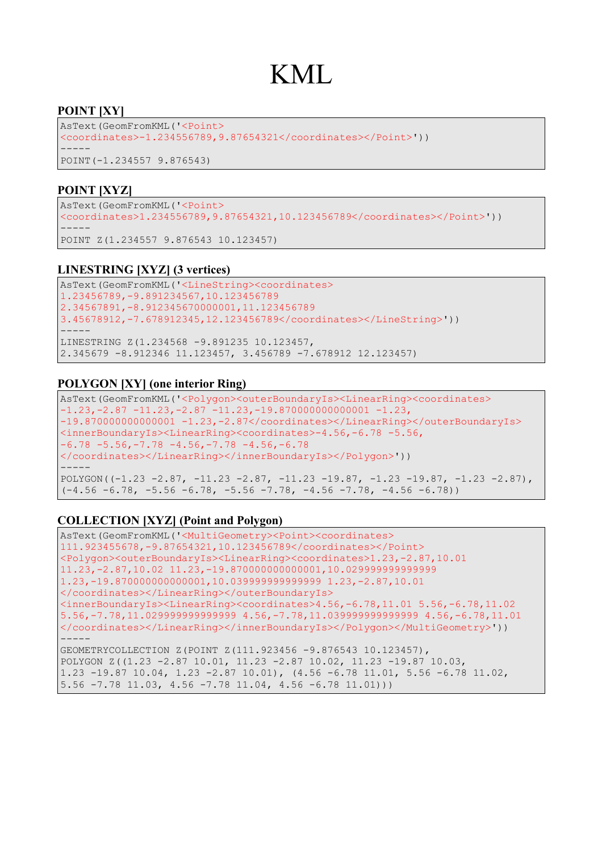### KML

#### **POINT [XY]**

AsText(GeomFromKML('<Point> <coordinates>-1.234556789,9.87654321</coordinates></Point>')) ----- POINT(-1.234557 9.876543)

#### **POINT [XYZ]**

AsText(GeomFromKML('<Point> <coordinates>1.234556789,9.87654321,10.123456789</coordinates></Point>')) ----- POINT Z(1.234557 9.876543 10.123457)

#### **LINESTRING [XYZ] (3 vertices)**

AsText(GeomFromKML('<LineString><coordinates> 1.23456789,-9.891234567,10.123456789 2.34567891,-8.912345670000001,11.123456789 3.45678912,-7.678912345,12.123456789</coordinates></LineString>')) ----- LINESTRING Z(1.234568 -9.891235 10.123457, 2.345679 -8.912346 11.123457, 3.456789 -7.678912 12.123457)

#### **POLYGON [XY] (one interior Ring)**

```
AsText(GeomFromKML('<Polygon><outerBoundaryIs><LinearRing><coordinates>
-1.23, -2.87, -11.23, -2.87, -11.23, -19.870000000000001, -1.23,-19.8700000000000001 -1.23,-2.87</coordinates></LinearRing></outerBoundaryIs>
<innerBoundaryIs><LinearRing><coordinates>-4.56,-6.78 -5.56,
-6.78 -5.56, -7.78 -4.56, -7.78 -4.56, -6.78</coordinates></LinearRing></innerBoundaryIs></Polygon>'))
-----
POLYGON((-1.23 - 2.87, -11.23 - 2.87, -11.23 -19.87, -1.23 -19.87, -1.23 -2.87),(-4.56 - 6.78, -5.56 - 6.78, -5.56 -7.78, -4.56 -7.78, -4.56 -6.78))
```

```
AsText(GeomFromKML('<MultiGeometry><Point><coordinates>
111.923455678,-9.87654321,10.123456789</coordinates></Point>
<Polygon><outerBoundaryIs><LinearRing><coordinates>1.23,-2.87,10.01 
11.23,-2.87,10.02 11.23,-19.870000000000001,10.029999999999999 
1.23,-19.870000000000001,10.039999999999999 1.23,-2.87,10.01
</coordinates></LinearRing></outerBoundaryIs>
<innerBoundaryIs><LinearRing><coordinates>4.56,-6.78,11.01 5.56,-6.78,11.02
5.56,-7.78,11.029999999999999 4.56,-7.78,11.039999999999999 4.56,-6.78,11.01
</coordinates></LinearRing></innerBoundaryIs></Polygon></MultiGeometry>'))
-----
GEOMETRYCOLLECTION Z(POINT Z(111.923456 -9.876543 10.123457), 
POLYGON Z((1.23 -2.87 10.01, 11.23 -2.87 10.02, 11.23 -19.87 10.03, 
1.23 -19.87 10.04, 1.23 -2.87 10.01), (4.56 -6.78 11.01, 5.56 -6.78 11.02, 
5.56 -7.78 11.03, 4.56 -7.78 11.04, 4.56 -6.78 11.01)))
```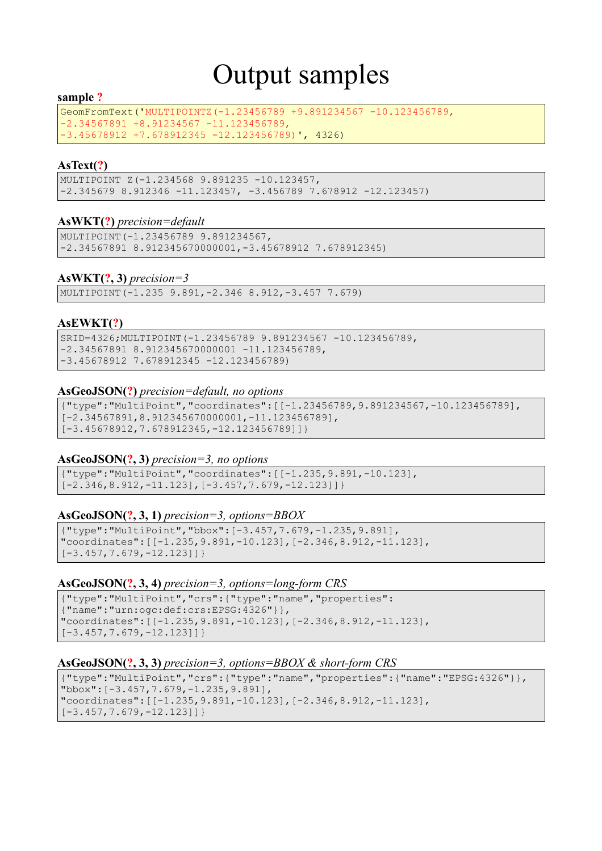# Output samples

#### **sample ?**

GeomFromText('MULTIPOINTZ(-1.23456789 +9.891234567 -10.123456789, -2.34567891 +8.91234567 -11.123456789, -3.45678912 +7.678912345 -12.123456789)', 4326)

#### **AsText(?)**

MULTIPOINT Z(-1.234568 9.891235 -10.123457, -2.345679 8.912346 -11.123457, -3.456789 7.678912 -12.123457)

#### **AsWKT(?)** *precision=default*

MULTIPOINT(-1.23456789 9.891234567, -2.34567891 8.912345670000001,-3.45678912 7.678912345)

#### **AsWKT(?, 3)** *precision=3*

MULTIPOINT(-1.235 9.891,-2.346 8.912,-3.457 7.679)

#### **AsEWKT(?)**

SRID=4326;MULTIPOINT(-1.23456789 9.891234567 -10.123456789, -2.34567891 8.912345670000001 -11.123456789, -3.45678912 7.678912345 -12.123456789)

#### **AsGeoJSON(?)** *precision=default, no options*

{"type":"MultiPoint","coordinates":[[-1.23456789,9.891234567,-10.123456789], [-2.34567891,8.912345670000001,-11.123456789], [-3.45678912,7.678912345,-12.123456789]]}

#### **AsGeoJSON(?, 3)** *precision=3, no options*

{"type":"MultiPoint","coordinates":[[-1.235,9.891,-10.123],  $[-2.346, 8.912, -11.123]$ ,  $[-3.457, 7.679, -12.123]$ 

#### **AsGeoJSON(?, 3, 1)** *precision=3, options=BBOX*

```
{"type":"MultiPoint","bbox":[-3.457,7.679,-1.235,9.891],
"coordinates":[[-1.235,9.891,-10.123],[-2.346,8.912,-11.123],
[-3.457, 7.679, -12.123]
```
#### **AsGeoJSON(?, 3, 4)** *precision=3, options=long-form CRS*

```
{"type":"MultiPoint","crs":{"type":"name","properties":
{"name":"urn:ogc:def:crs:EPSG:4326"}},
"coordinates":[[-1.235,9.891,-10.123],[-2.346,8.912,-11.123],
[-3.457, 7.679, -12.123]]
```
#### **AsGeoJSON(?, 3, 3)** *precision=3, options=BBOX & short-form CRS*

```
{"type":"MultiPoint","crs":{"type":"name","properties":{"name":"EPSG:4326"}},
"bbox":[-3.457,7.679,-1.235,9.891],
"coordinates":[[-1.235,9.891,-10.123],[-2.346,8.912,-11.123],
[-3.457, 7.679, -12.123]]
```